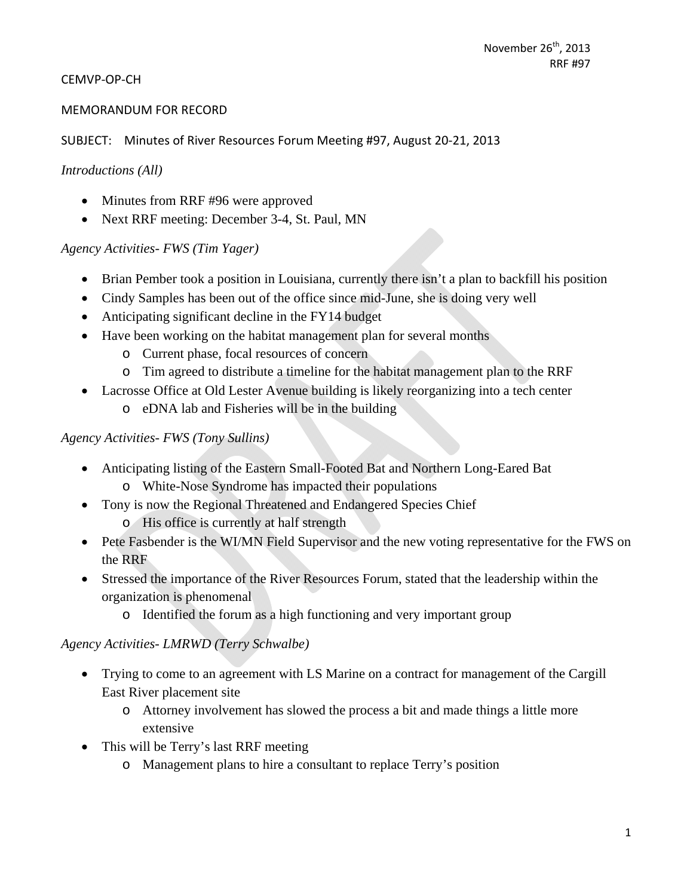#### CEMVP‐OP‐CH

#### MEMORANDUM FOR RECORD

SUBJECT: Minutes of River Resources Forum Meeting #97, August 20‐21, 2013

#### *Introductions (All)*

- Minutes from RRF #96 were approved
- Next RRF meeting: December 3-4, St. Paul, MN

#### *Agency Activities- FWS (Tim Yager)*

- Brian Pember took a position in Louisiana, currently there isn't a plan to backfill his position
- Cindy Samples has been out of the office since mid-June, she is doing very well
- Anticipating significant decline in the FY14 budget
- Have been working on the habitat management plan for several months
	- o Current phase, focal resources of concern
	- o Tim agreed to distribute a timeline for the habitat management plan to the RRF
- Lacrosse Office at Old Lester Avenue building is likely reorganizing into a tech center
	- o eDNA lab and Fisheries will be in the building

#### *Agency Activities- FWS (Tony Sullins)*

- Anticipating listing of the Eastern Small-Footed Bat and Northern Long-Eared Bat o White-Nose Syndrome has impacted their populations
- Tony is now the Regional Threatened and Endangered Species Chief
	- o His office is currently at half strength
- Pete Fasbender is the WI/MN Field Supervisor and the new voting representative for the FWS on the RRF
- Stressed the importance of the River Resources Forum, stated that the leadership within the organization is phenomenal
	- o Identified the forum as a high functioning and very important group

#### *Agency Activities- LMRWD (Terry Schwalbe)*

- Trying to come to an agreement with LS Marine on a contract for management of the Cargill East River placement site
	- o Attorney involvement has slowed the process a bit and made things a little more extensive
- This will be Terry's last RRF meeting
	- o Management plans to hire a consultant to replace Terry's position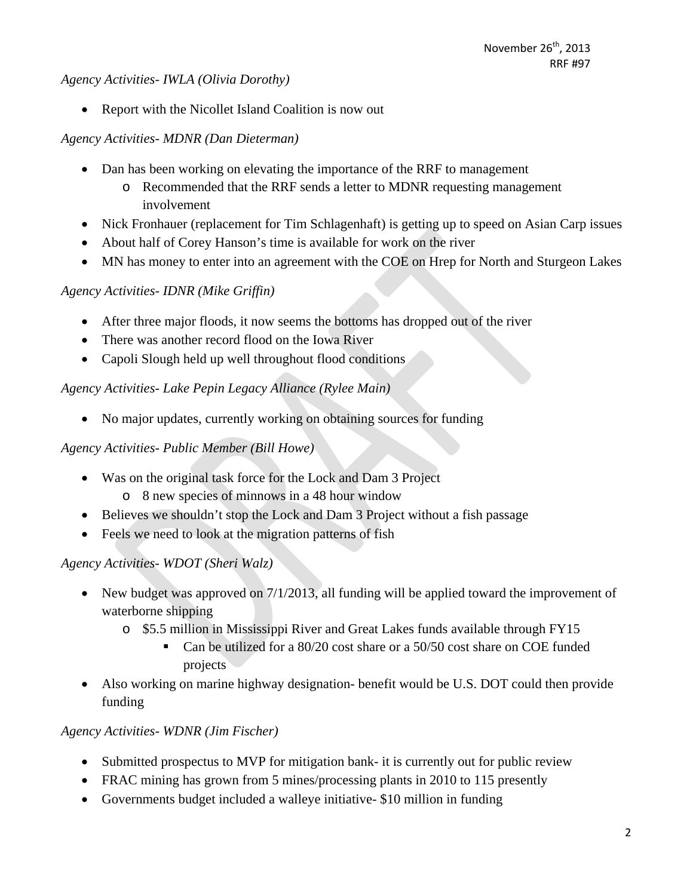*Agency Activities- IWLA (Olivia Dorothy)* 

• Report with the Nicollet Island Coalition is now out

## *Agency Activities- MDNR (Dan Dieterman)*

- Dan has been working on elevating the importance of the RRF to management
	- o Recommended that the RRF sends a letter to MDNR requesting management involvement
- Nick Fronhauer (replacement for Tim Schlagenhaft) is getting up to speed on Asian Carp issues
- About half of Corey Hanson's time is available for work on the river
- MN has money to enter into an agreement with the COE on Hrep for North and Sturgeon Lakes

# *Agency Activities- IDNR (Mike Griffin)*

- After three major floods, it now seems the bottoms has dropped out of the river
- There was another record flood on the Iowa River
- Capoli Slough held up well throughout flood conditions

# *Agency Activities- Lake Pepin Legacy Alliance (Rylee Main)*

• No major updates, currently working on obtaining sources for funding

## *Agency Activities- Public Member (Bill Howe)*

- Was on the original task force for the Lock and Dam 3 Project
	- o 8 new species of minnows in a 48 hour window
- Believes we shouldn't stop the Lock and Dam 3 Project without a fish passage
- Feels we need to look at the migration patterns of fish

# *Agency Activities- WDOT (Sheri Walz)*

- New budget was approved on  $7/1/2013$ , all funding will be applied toward the improvement of waterborne shipping
	- o \$5.5 million in Mississippi River and Great Lakes funds available through FY15
		- Can be utilized for a 80/20 cost share or a 50/50 cost share on COE funded projects
- Also working on marine highway designation- benefit would be U.S. DOT could then provide funding

## *Agency Activities- WDNR (Jim Fischer)*

- Submitted prospectus to MVP for mitigation bank- it is currently out for public review
- FRAC mining has grown from 5 mines/processing plants in 2010 to 115 presently
- Governments budget included a walleye initiative- \$10 million in funding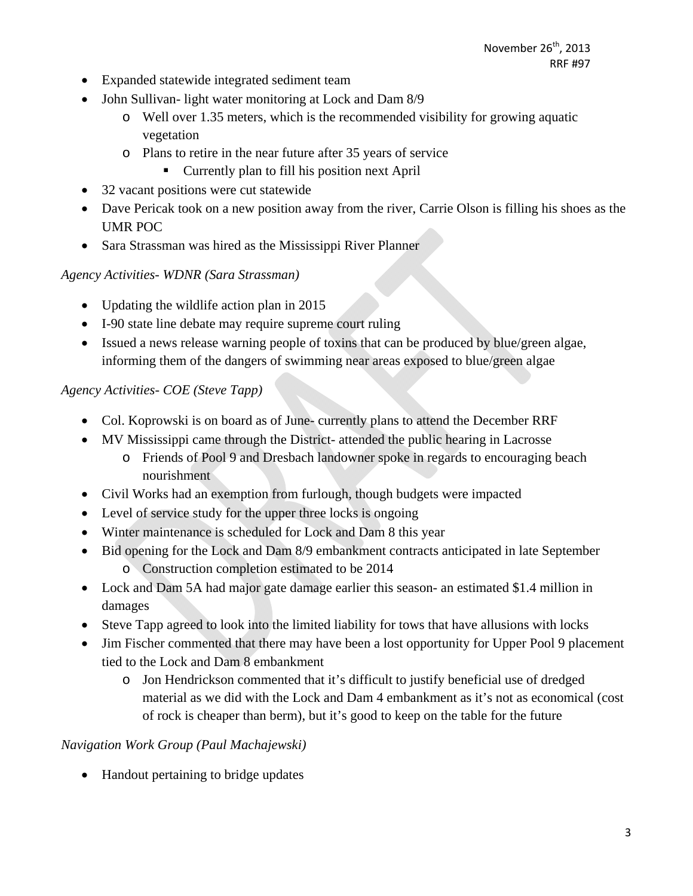- Expanded statewide integrated sediment team
- John Sullivan- light water monitoring at Lock and Dam 8/9
	- o Well over 1.35 meters, which is the recommended visibility for growing aquatic vegetation
	- o Plans to retire in the near future after 35 years of service
		- Currently plan to fill his position next April
- 32 vacant positions were cut statewide
- Dave Pericak took on a new position away from the river, Carrie Olson is filling his shoes as the UMR POC
- Sara Strassman was hired as the Mississippi River Planner

#### *Agency Activities- WDNR (Sara Strassman)*

- Updating the wildlife action plan in 2015
- I-90 state line debate may require supreme court ruling
- Issued a news release warning people of toxins that can be produced by blue/green algae, informing them of the dangers of swimming near areas exposed to blue/green algae

#### *Agency Activities- COE (Steve Tapp)*

- Col. Koprowski is on board as of June- currently plans to attend the December RRF
- MV Mississippi came through the District- attended the public hearing in Lacrosse
	- o Friends of Pool 9 and Dresbach landowner spoke in regards to encouraging beach nourishment
- Civil Works had an exemption from furlough, though budgets were impacted
- Level of service study for the upper three locks is ongoing
- Winter maintenance is scheduled for Lock and Dam 8 this year
- Bid opening for the Lock and Dam 8/9 embankment contracts anticipated in late September o Construction completion estimated to be 2014
- Lock and Dam 5A had major gate damage earlier this season- an estimated \$1.4 million in damages
- Steve Tapp agreed to look into the limited liability for tows that have allusions with locks
- Jim Fischer commented that there may have been a lost opportunity for Upper Pool 9 placement tied to the Lock and Dam 8 embankment
	- o Jon Hendrickson commented that it's difficult to justify beneficial use of dredged material as we did with the Lock and Dam 4 embankment as it's not as economical (cost of rock is cheaper than berm), but it's good to keep on the table for the future

## *Navigation Work Group (Paul Machajewski)*

• Handout pertaining to bridge updates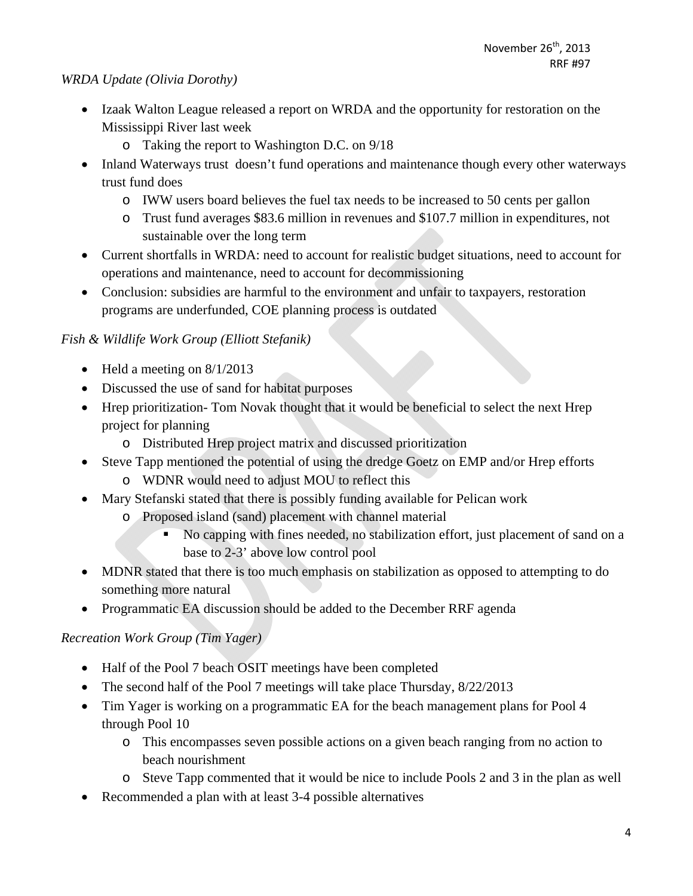#### *WRDA Update (Olivia Dorothy)*

- Izaak Walton League released a report on WRDA and the opportunity for restoration on the Mississippi River last week
	- o Taking the report to Washington D.C. on 9/18
- Inland Waterways trust doesn't fund operations and maintenance though every other waterways trust fund does
	- o IWW users board believes the fuel tax needs to be increased to 50 cents per gallon
	- o Trust fund averages \$83.6 million in revenues and \$107.7 million in expenditures, not sustainable over the long term
- Current shortfalls in WRDA: need to account for realistic budget situations, need to account for operations and maintenance, need to account for decommissioning
- Conclusion: subsidies are harmful to the environment and unfair to taxpayers, restoration programs are underfunded, COE planning process is outdated

## *Fish & Wildlife Work Group (Elliott Stefanik)*

- $\bullet$  Held a meeting on 8/1/2013
- Discussed the use of sand for habitat purposes
- Hrep prioritization- Tom Novak thought that it would be beneficial to select the next Hrep project for planning
	- o Distributed Hrep project matrix and discussed prioritization
- Steve Tapp mentioned the potential of using the dredge Goetz on EMP and/or Hrep efforts
	- o WDNR would need to adjust MOU to reflect this
- Mary Stefanski stated that there is possibly funding available for Pelican work
	- o Proposed island (sand) placement with channel material
		- No capping with fines needed, no stabilization effort, just placement of sand on a base to 2-3' above low control pool
- MDNR stated that there is too much emphasis on stabilization as opposed to attempting to do something more natural
- Programmatic EA discussion should be added to the December RRF agenda

## *Recreation Work Group (Tim Yager)*

- Half of the Pool 7 beach OSIT meetings have been completed
- The second half of the Pool 7 meetings will take place Thursday,  $8/22/2013$
- Tim Yager is working on a programmatic EA for the beach management plans for Pool 4 through Pool 10
	- o This encompasses seven possible actions on a given beach ranging from no action to beach nourishment
	- o Steve Tapp commented that it would be nice to include Pools 2 and 3 in the plan as well
- Recommended a plan with at least 3-4 possible alternatives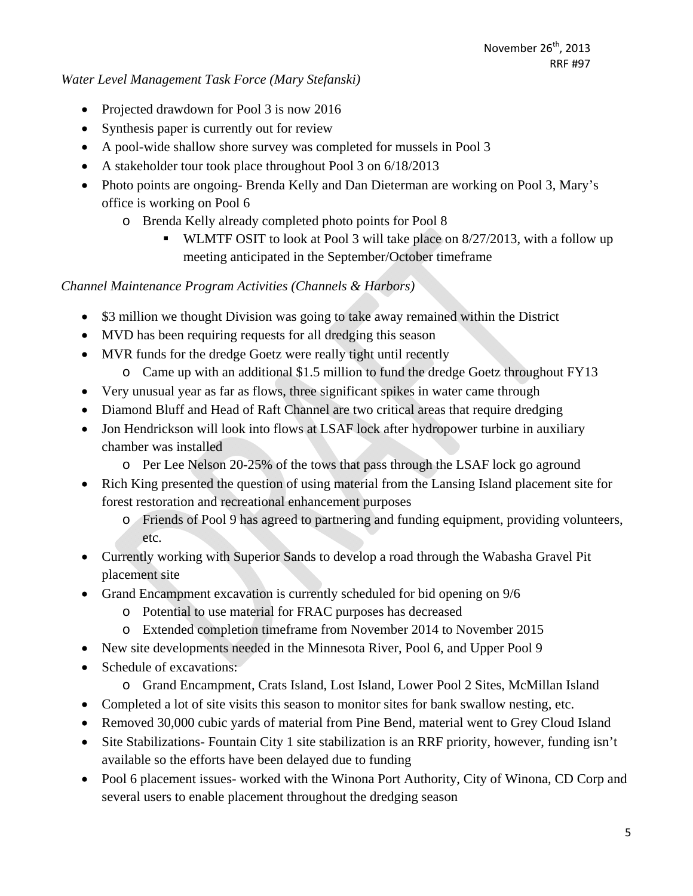#### *Water Level Management Task Force (Mary Stefanski)*

- Projected drawdown for Pool 3 is now 2016
- Synthesis paper is currently out for review
- A pool-wide shallow shore survey was completed for mussels in Pool 3
- A stakeholder tour took place throughout Pool 3 on 6/18/2013
- Photo points are ongoing-Brenda Kelly and Dan Dieterman are working on Pool 3, Mary's office is working on Pool 6
	- o Brenda Kelly already completed photo points for Pool 8
		- **WLMTF OSIT to look at Pool 3 will take place on 8/27/2013, with a follow up** meeting anticipated in the September/October timeframe

*Channel Maintenance Program Activities (Channels & Harbors)* 

- \$3 million we thought Division was going to take away remained within the District
- MVD has been requiring requests for all dredging this season
- MVR funds for the dredge Goetz were really tight until recently
	- o Came up with an additional \$1.5 million to fund the dredge Goetz throughout FY13
- Very unusual year as far as flows, three significant spikes in water came through
- Diamond Bluff and Head of Raft Channel are two critical areas that require dredging
- Jon Hendrickson will look into flows at LSAF lock after hydropower turbine in auxiliary chamber was installed
	- o Per Lee Nelson 20-25% of the tows that pass through the LSAF lock go aground
- Rich King presented the question of using material from the Lansing Island placement site for forest restoration and recreational enhancement purposes
	- o Friends of Pool 9 has agreed to partnering and funding equipment, providing volunteers, etc.
- Currently working with Superior Sands to develop a road through the Wabasha Gravel Pit placement site
- Grand Encampment excavation is currently scheduled for bid opening on 9/6
	- o Potential to use material for FRAC purposes has decreased
	- o Extended completion timeframe from November 2014 to November 2015
- New site developments needed in the Minnesota River, Pool 6, and Upper Pool 9
- Schedule of excavations:
	- o Grand Encampment, Crats Island, Lost Island, Lower Pool 2 Sites, McMillan Island
- Completed a lot of site visits this season to monitor sites for bank swallow nesting, etc.
- Removed 30,000 cubic yards of material from Pine Bend, material went to Grey Cloud Island
- Site Stabilizations- Fountain City 1 site stabilization is an RRF priority, however, funding isn't available so the efforts have been delayed due to funding
- Pool 6 placement issues- worked with the Winona Port Authority, City of Winona, CD Corp and several users to enable placement throughout the dredging season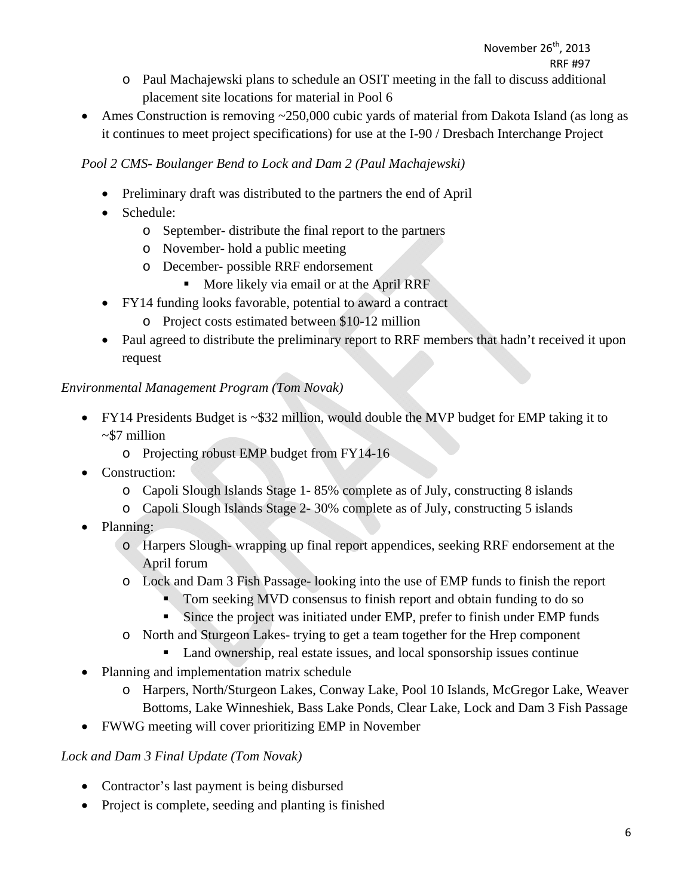- o Paul Machajewski plans to schedule an OSIT meeting in the fall to discuss additional placement site locations for material in Pool 6
- Ames Construction is removing ~250,000 cubic yards of material from Dakota Island (as long as it continues to meet project specifications) for use at the I-90 / Dresbach Interchange Project

## *Pool 2 CMS- Boulanger Bend to Lock and Dam 2 (Paul Machajewski)*

- Preliminary draft was distributed to the partners the end of April
- Schedule:
	- o September- distribute the final report to the partners
	- o November- hold a public meeting
	- o December- possible RRF endorsement
		- More likely via email or at the April RRF
- FY14 funding looks favorable, potential to award a contract
	- o Project costs estimated between \$10-12 million
- Paul agreed to distribute the preliminary report to RRF members that hadn't received it upon request

## *Environmental Management Program (Tom Novak)*

- FY14 Presidents Budget is ~\$32 million, would double the MVP budget for EMP taking it to ~\$7 million
	- o Projecting robust EMP budget from FY14-16
- Construction:
	- o Capoli Slough Islands Stage 1- 85% complete as of July, constructing 8 islands
	- o Capoli Slough Islands Stage 2- 30% complete as of July, constructing 5 islands
- Planning:
	- o Harpers Slough- wrapping up final report appendices, seeking RRF endorsement at the April forum
	- o Lock and Dam 3 Fish Passage- looking into the use of EMP funds to finish the report
		- Tom seeking MVD consensus to finish report and obtain funding to do so
		- Since the project was initiated under EMP, prefer to finish under EMP funds
	- o North and Sturgeon Lakes- trying to get a team together for the Hrep component
		- Land ownership, real estate issues, and local sponsorship issues continue
- Planning and implementation matrix schedule
	- o Harpers, North/Sturgeon Lakes, Conway Lake, Pool 10 Islands, McGregor Lake, Weaver Bottoms, Lake Winneshiek, Bass Lake Ponds, Clear Lake, Lock and Dam 3 Fish Passage
- FWWG meeting will cover prioritizing EMP in November

## *Lock and Dam 3 Final Update (Tom Novak)*

- Contractor's last payment is being disbursed
- Project is complete, seeding and planting is finished